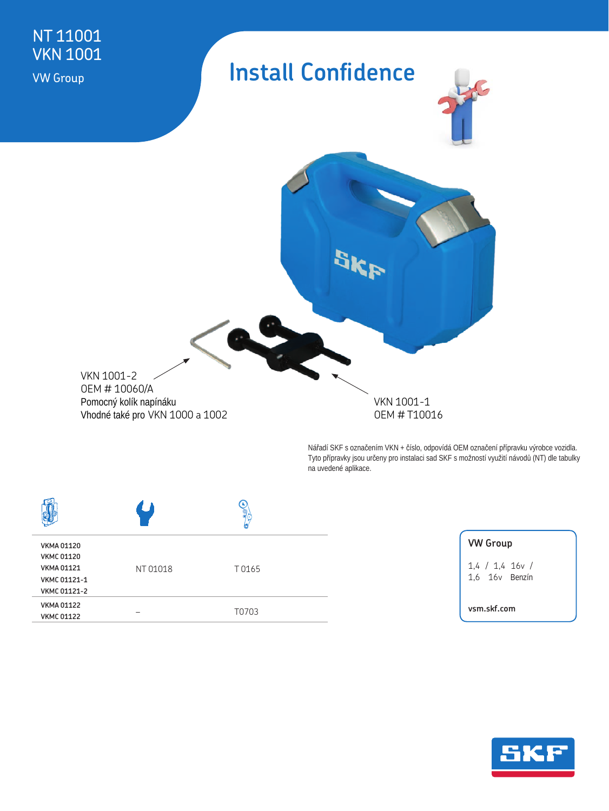

Nářadí SKF s označením VKN + číslo, odpovídá OEM označení přípravku výrobce vozidla. Tyto přípravky jsou určeny pro instalaci sad SKF s možností využití návodů (NT) dle tabulky na uvedené aplikace.

| <b>VKMA 01120</b><br><b>VKMC 01120</b><br><b>VKMA 01121</b><br><b>VKMC 01121-1</b><br><b>VKMC 01121-2</b> | NT 01018 | T0165 |  |
|-----------------------------------------------------------------------------------------------------------|----------|-------|--|
| <b>VKMA 01122</b><br><b>VKMC 01122</b>                                                                    |          | T0703 |  |

| <b>VW Group</b> |                                   |
|-----------------|-----------------------------------|
|                 | 1,4 / 1,4 16v /<br>1.6 16v Benzín |
| vsm.skf.com     |                                   |